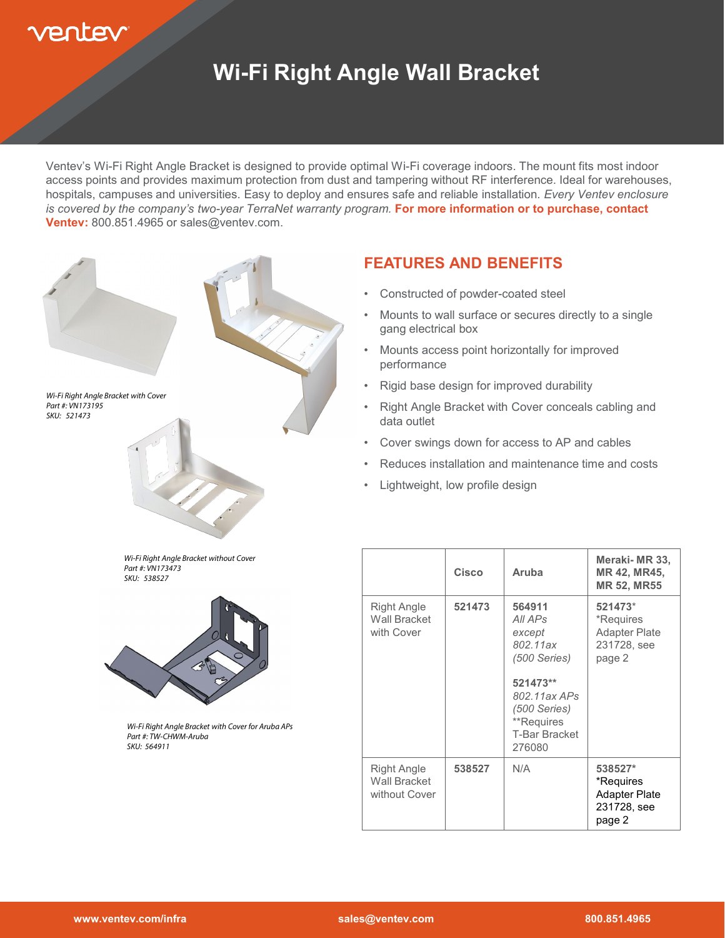# entev

### **Wi-Fi Right Angle Wall Bracket**

Ventev's Wi-Fi Right Angle Bracket is designed to provide optimal Wi-Fi coverage indoors. The mount fits most indoor access points and provides maximum protection from dust and tampering without RF interference. Ideal for warehouses, hospitals, campuses and universities. Easy to deploy and ensures safe and reliable installation. *Every Ventev enclosure is covered by the company's two-year TerraNet warranty program.* **For more information or to purchase, contact Ventev:** 800.851.4965 or sales@ventev.com.



#### **FEATURES AND BENEFITS**

- Constructed of powder-coated steel
- Mounts to wall surface or secures directly to a single gang electrical box
- Mounts access point horizontally for improved performance
- Rigid base design for improved durability
- Right Angle Bracket with Cover conceals cabling and data outlet
- Cover swings down for access to AP and cables
- Reduces installation and maintenance time and costs
- Lightweight, low profile design

|                                                     | Cisco  | Aruba                                                                                                                                                 | Meraki-MR 33,<br>MR 42, MR45,<br><b>MR 52, MR55</b>                   |
|-----------------------------------------------------|--------|-------------------------------------------------------------------------------------------------------------------------------------------------------|-----------------------------------------------------------------------|
| <b>Right Angle</b><br>Wall Bracket<br>with Cover    | 521473 | 564911<br>All APs<br>except<br>802.11ax<br>$(500$ Series)<br>521473**<br>802.11ax APs<br>(500 Series)<br>**Requires<br><b>T-Bar Bracket</b><br>276080 | 521473*<br>*Requires<br><b>Adapter Plate</b><br>231728, see<br>page 2 |
| Right Angle<br><b>Wall Bracket</b><br>without Cover | 538527 | N/A                                                                                                                                                   | 538527*<br>*Requires<br><b>Adapter Plate</b><br>231728, see<br>page 2 |